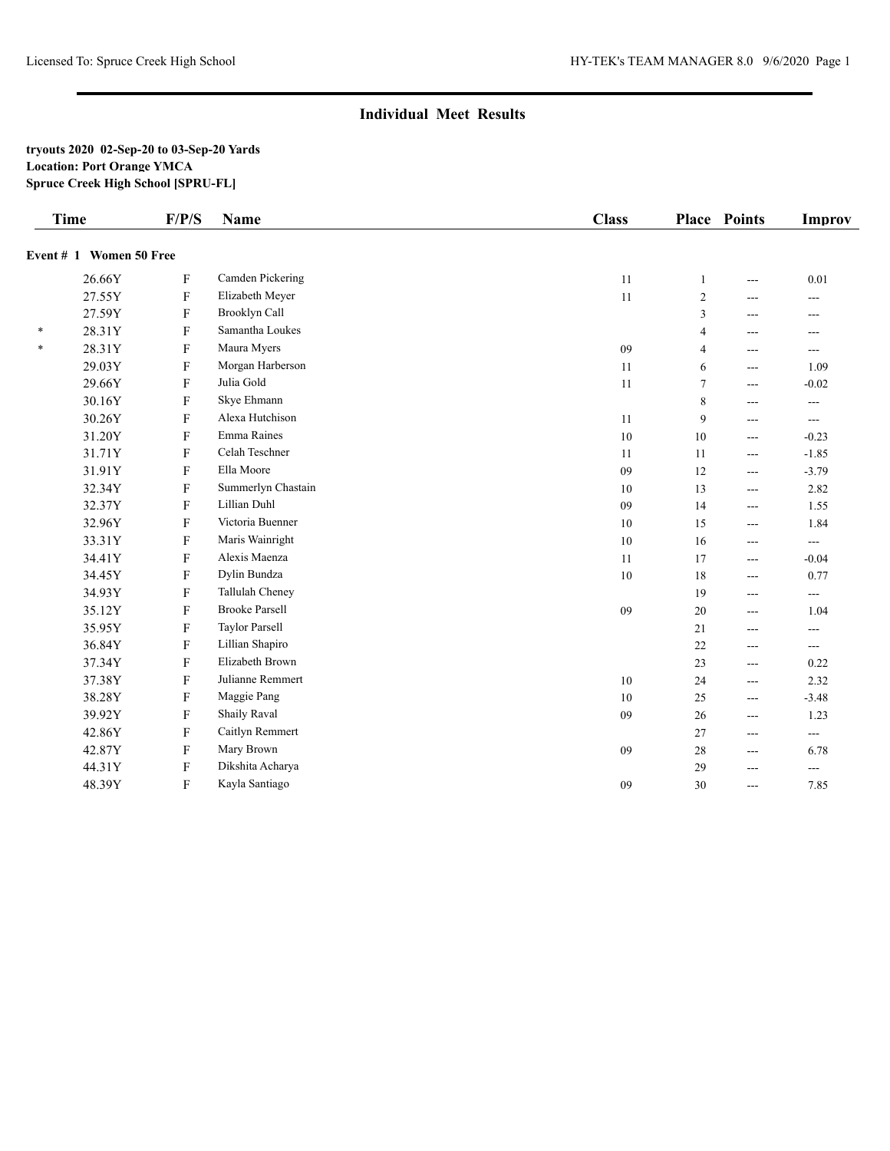#### **tryouts 2020 02-Sep-20 to 03-Sep-20 Yards Location: Port Orange YMCA Spruce Creek High School [SPRU-FL]**

|        | <b>Time</b>             | F/P/S        | <b>Name</b>           | <b>Class</b> |                | <b>Place Points</b> | <b>Improv</b>            |
|--------|-------------------------|--------------|-----------------------|--------------|----------------|---------------------|--------------------------|
|        | Event # 1 Women 50 Free |              |                       |              |                |                     |                          |
|        | 26.66Y                  | $\mathbf F$  | Camden Pickering      | 11           | $\mathbf{1}$   | $\overline{a}$      | 0.01                     |
|        | 27.55Y                  | ${\rm F}$    | Elizabeth Meyer       | 11           | $\overline{2}$ | $\overline{a}$      | $---$                    |
|        | 27.59Y                  | $\mathbf{F}$ | Brooklyn Call         |              | 3              | ---                 | $---$                    |
| $\ast$ | 28.31Y                  | $\mathbf{F}$ | Samantha Loukes       |              | 4              | ---                 | $---$                    |
| $\ast$ | 28.31Y                  | $\mathbf{F}$ | Maura Myers           | $09\,$       | $\overline{4}$ | $\overline{a}$      | $\cdots$                 |
|        | 29.03Y                  | $\mathbf{F}$ | Morgan Harberson      | 11           | 6              | $\overline{a}$      | 1.09                     |
|        | 29.66Y                  | $\mathbf{F}$ | Julia Gold            | 11           | 7              | $\overline{a}$      | $-0.02$                  |
|        | 30.16Y                  | $\mathbf F$  | Skye Ehmann           |              | 8              | $\overline{a}$      | $\overline{a}$           |
|        | 30.26Y                  | $\mathbf{F}$ | Alexa Hutchison       | 11           | 9              | ---                 | $\cdots$                 |
|        | 31.20Y                  | $\mathbf{F}$ | Emma Raines           | 10           | 10             | $---$               | $-0.23$                  |
|        | 31.71Y                  | $\mathbf{F}$ | Celah Teschner        | 11           | 11             | $---$               | $-1.85$                  |
|        | 31.91Y                  | $\mathbf{F}$ | Ella Moore            | 09           | 12             | $---$               | $-3.79$                  |
|        | 32.34Y                  | F            | Summerlyn Chastain    | 10           | 13             | $\overline{a}$      | 2.82                     |
|        | 32.37Y                  | $\mathbf{F}$ | Lillian Duhl          | 09           | 14             | $\overline{a}$      | 1.55                     |
|        | 32.96Y                  | $\mathbf{F}$ | Victoria Buenner      | 10           | 15             | $\cdots$            | 1.84                     |
|        | 33.31Y                  | $\mathbf F$  | Maris Wainright       | 10           | 16             | $---$               | $\cdots$                 |
|        | 34.41Y                  | $\mathbf F$  | Alexis Maenza         | 11           | 17             | $\overline{a}$      | $-0.04$                  |
|        | 34.45Y                  | ${\bf F}$    | Dylin Bundza          | 10           | 18             | $\overline{a}$      | 0.77                     |
|        | 34.93Y                  | F            | Tallulah Cheney       |              | 19             | ---                 | $\overline{\phantom{a}}$ |
|        | 35.12Y                  | $\mathbf{F}$ | <b>Brooke Parsell</b> | 09           | 20             | $\overline{a}$      | 1.04                     |
|        | 35.95Y                  | $\mathbf{F}$ | <b>Taylor Parsell</b> |              | 21             | $---$               | $\overline{a}$           |
|        | 36.84Y                  | $\mathbf{F}$ | Lillian Shapiro       |              | 22             | $\overline{a}$      | $\overline{a}$           |
|        | 37.34Y                  | $\mathbf{F}$ | Elizabeth Brown       |              | 23             | $\overline{a}$      | 0.22                     |
|        | 37.38Y                  | $\mathbf F$  | Julianne Remmert      | 10           | 24             | $\overline{a}$      | 2.32                     |
|        | 38.28Y                  | F            | Maggie Pang           | 10           | 25             | $---$               | $-3.48$                  |
|        | 39.92Y                  | $\mathbf{F}$ | <b>Shaily Raval</b>   | 09           | 26             | $\overline{a}$      | 1.23                     |
|        | 42.86Y                  | F            | Caitlyn Remmert       |              | 27             | $---$               | $\cdots$                 |
|        | 42.87Y                  | $\mathbf{F}$ | Mary Brown            | 09           | 28             | $\cdots$            | 6.78                     |
|        | 44.31Y                  | $\mathbf F$  | Dikshita Acharya      |              | 29             | ---                 | $-$                      |
|        | 48.39Y                  | ${\bf F}$    | Kayla Santiago        | 09           | 30             | $\overline{a}$      | 7.85                     |
|        |                         |              |                       |              |                |                     |                          |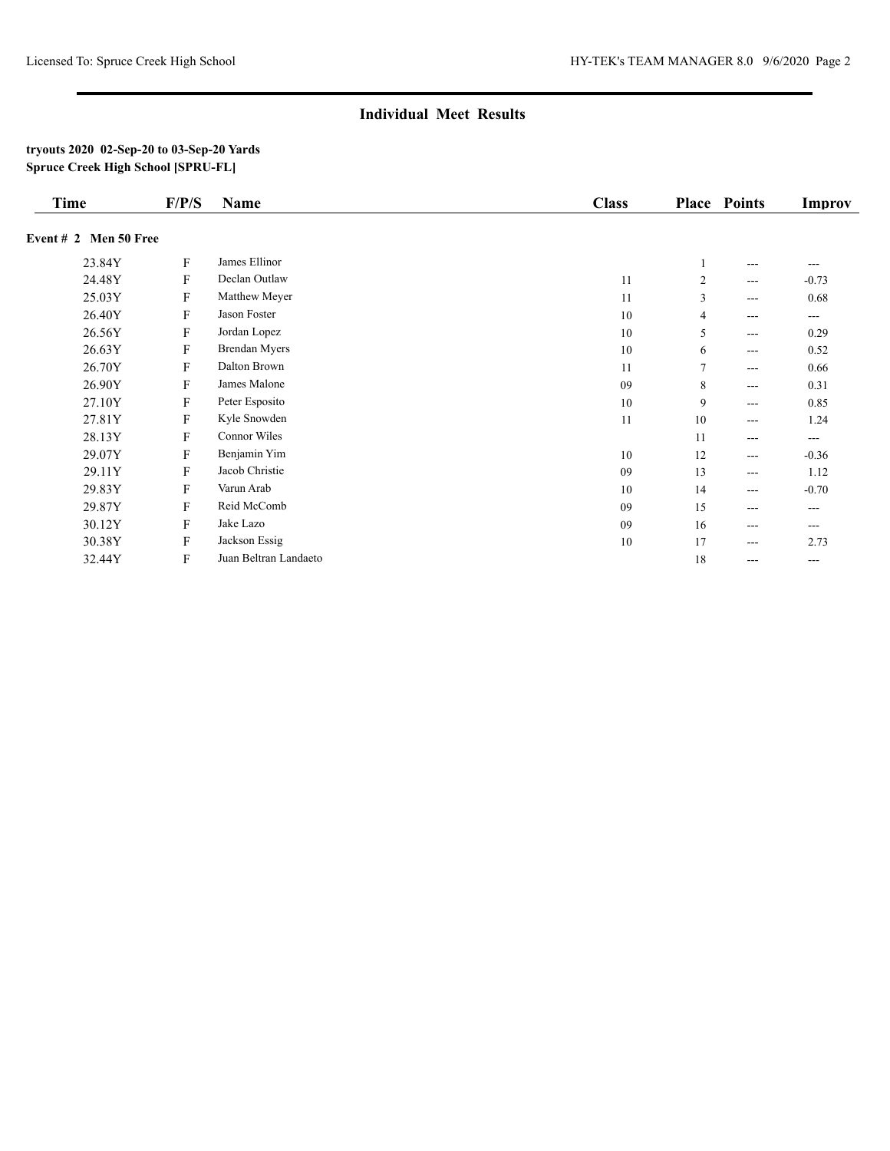| <b>Time</b>             | F/P/S                     | <b>Name</b>           | <b>Class</b> |        | <b>Place Points</b> | <b>Improv</b>     |
|-------------------------|---------------------------|-----------------------|--------------|--------|---------------------|-------------------|
| Event $# 2$ Men 50 Free |                           |                       |              |        |                     |                   |
| 23.84Y                  | F                         | James Ellinor         |              |        | $---$               |                   |
| 24.48Y                  | F                         | Declan Outlaw         | 11           | 2      | $\cdots$            | $-0.73$           |
| 25.03Y                  | F                         | Matthew Meyer         | 11           | 3      | $\cdots$            | 0.68              |
| 26.40Y                  | F                         | Jason Foster          | 10           | 4      | $\cdots$            | $\cdots$          |
| 26.56Y                  | F                         | Jordan Lopez          | 10           | 5      | $\cdots$            | 0.29              |
| 26.63Y                  | ${\bf F}$                 | <b>Brendan Myers</b>  | 10           | 6      | $\cdots$            | 0.52              |
| 26.70Y                  | F                         | Dalton Brown          | 11           | $\tau$ | $---$               | 0.66              |
| 26.90Y                  | F                         | James Malone          | 09           | 8      | $\cdots$            | 0.31              |
| 27.10Y                  | F                         | Peter Esposito        | 10           | 9      | $\cdots$            | 0.85              |
| 27.81Y                  | F                         | Kyle Snowden          | 11           | 10     | $\cdots$            | 1.24              |
| 28.13Y                  | F                         | Connor Wiles          |              | 11     | $\cdots$            | $\cdots$          |
| 29.07Y                  | F                         | Benjamin Yim          | 10           | 12     | $\cdots$            | $-0.36$           |
| 29.11Y                  | F                         | Jacob Christie        | 09           | 13     | $\cdots$            | 1.12              |
| 29.83Y                  | $\boldsymbol{\mathrm{F}}$ | Varun Arab            | 10           | 14     | $\cdots$            | $-0.70$           |
| 29.87Y                  | F                         | Reid McComb           | 09           | 15     | $---$               | $---$             |
| 30.12Y                  | F                         | Jake Lazo             | 09           | 16     | $\cdots$            | $\cdots$          |
| 30.38Y                  | F                         | Jackson Essig         | 10           | 17     | ---                 | 2.73              |
| 32.44Y                  | F                         | Juan Beltran Landaeto |              | 18     | $\cdots$            | $\qquad \qquad -$ |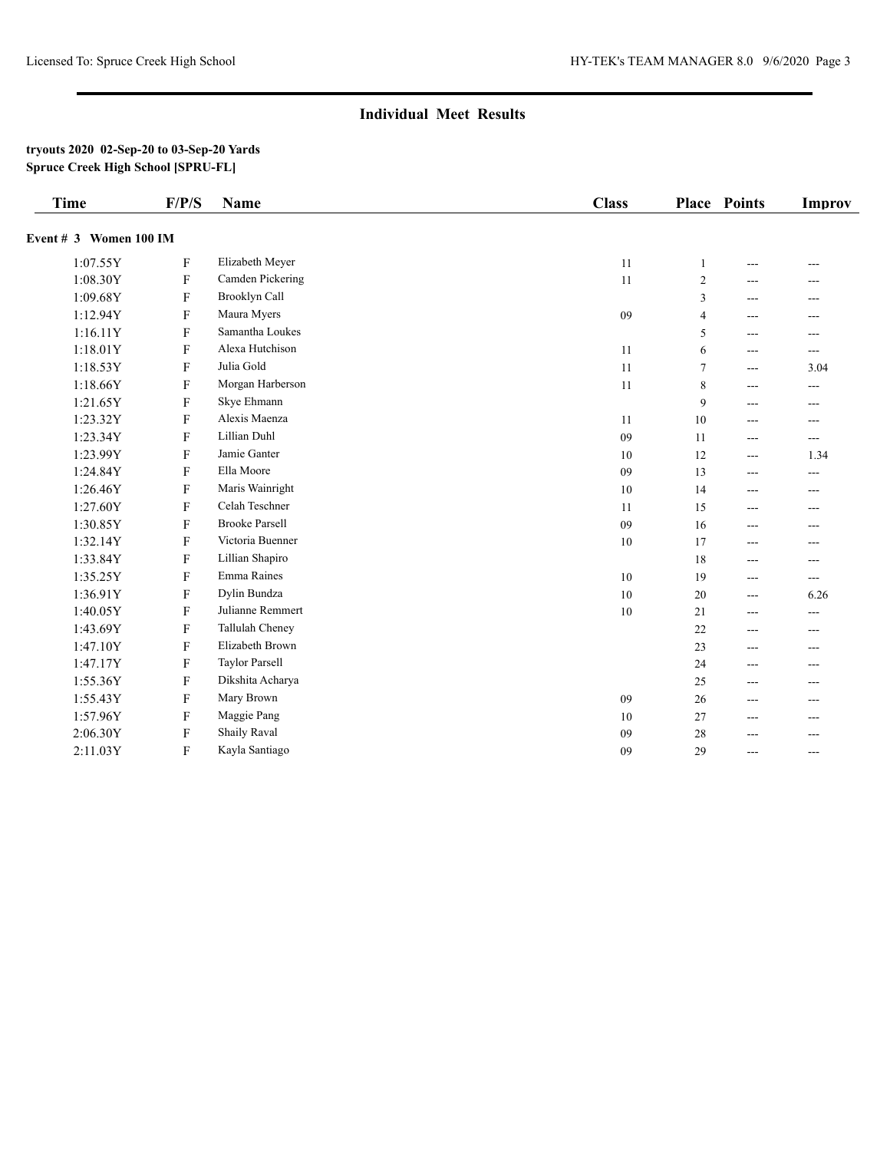| <b>Time</b>            | F/P/S                     | Name                  | <b>Class</b> |                | <b>Place Points</b> | Improv |
|------------------------|---------------------------|-----------------------|--------------|----------------|---------------------|--------|
| Event # 3 Women 100 IM |                           |                       |              |                |                     |        |
| 1:07.55Y               | $\mathbf{F}$              | Elizabeth Meyer       | 11           | $\mathbf{1}$   | ---                 | ---    |
| 1:08.30Y               | $\mathbf{F}$              | Camden Pickering      | 11           | $\overline{c}$ | ---                 | ---    |
| 1:09.68Y               | ${\bf F}$                 | Brooklyn Call         |              | 3              | $---$               | ---    |
| 1:12.94Y               | $\mathbf{F}$              | Maura Myers           | 09           | $\overline{4}$ | $---$               | $---$  |
| 1:16.11Y               | $\mathbf F$               | Samantha Loukes       |              | 5              | ---                 | ---    |
| 1:18.01Y               | $\mathbf F$               | Alexa Hutchison       | 11           | 6              | $---$               | $---$  |
| 1:18.53Y               | ${\bf F}$                 | Julia Gold            | 11           | $\overline{7}$ | $---$               | 3.04   |
| 1:18.66Y               | $\mathbf F$               | Morgan Harberson      | $11\,$       | 8              | $---$               | $---$  |
| 1:21.65Y               | F                         | Skye Ehmann           |              | 9              | ---                 | ---    |
| 1:23.32Y               | ${\bf F}$                 | Alexis Maenza         | 11           | 10             | $---$               | ---    |
| 1:23.34Y               | $\mathbf F$               | Lillian Duhl          | 09           | 11             | $---$               | ---    |
| 1:23.99Y               | ${\bf F}$                 | Jamie Ganter          | 10           | 12             | $\qquad \qquad -$   | 1.34   |
| 1:24.84Y               | $\boldsymbol{\mathrm{F}}$ | Ella Moore            | 09           | 13             | $---$               | ---    |
| 1:26.46Y               | $\mathbf F$               | Maris Wainright       | 10           | 14             | ---                 | ---    |
| 1:27.60Y               | F                         | Celah Teschner        | 11           | 15             | ---                 | ---    |
| 1:30.85Y               | $\boldsymbol{\mathrm{F}}$ | <b>Brooke Parsell</b> | 09           | 16             | $---$               | ---    |
| 1:32.14Y               | ${\bf F}$                 | Victoria Buenner      | 10           | 17             | $---$               | ---    |
| 1:33.84Y               | $\mathbf F$               | Lillian Shapiro       |              | 18             | ---                 | ---    |
| 1:35.25Y               | $\mathbf F$               | Emma Raines           | 10           | 19             | $---$               | ---    |
| 1:36.91Y               | F                         | Dylin Bundza          | 10           | 20             | $---$               | 6.26   |
| 1:40.05Y               | $\boldsymbol{\mathrm{F}}$ | Julianne Remmert      | 10           | 21             | $---$               | $---$  |
| 1:43.69Y               | $\mathbf F$               | Tallulah Cheney       |              | 22             | ---                 | ---    |
| 1:47.10Y               | $\mathbf F$               | Elizabeth Brown       |              | 23             | $---$               | ---    |
| 1:47.17Y               | $\boldsymbol{\mathrm{F}}$ | <b>Taylor Parsell</b> |              | 24             | $---$               | ---    |
| 1:55.36Y               | $\boldsymbol{\mathrm{F}}$ | Dikshita Acharya      |              | 25             | $- - -$             | $---$  |
| 1:55.43Y               | $\boldsymbol{\mathrm{F}}$ | Mary Brown            | 09           | 26             | $---$               | ---    |
| 1:57.96Y               | F                         | Maggie Pang           | 10           | 27             | ---                 | ---    |
| 2:06.30Y               | $\mathbf F$               | <b>Shaily Raval</b>   | 09           | 28             | ---                 | ---    |
| 2:11.03Y               | ${\bf F}$                 | Kayla Santiago        | 09           | 29             | $- - -$             | $---$  |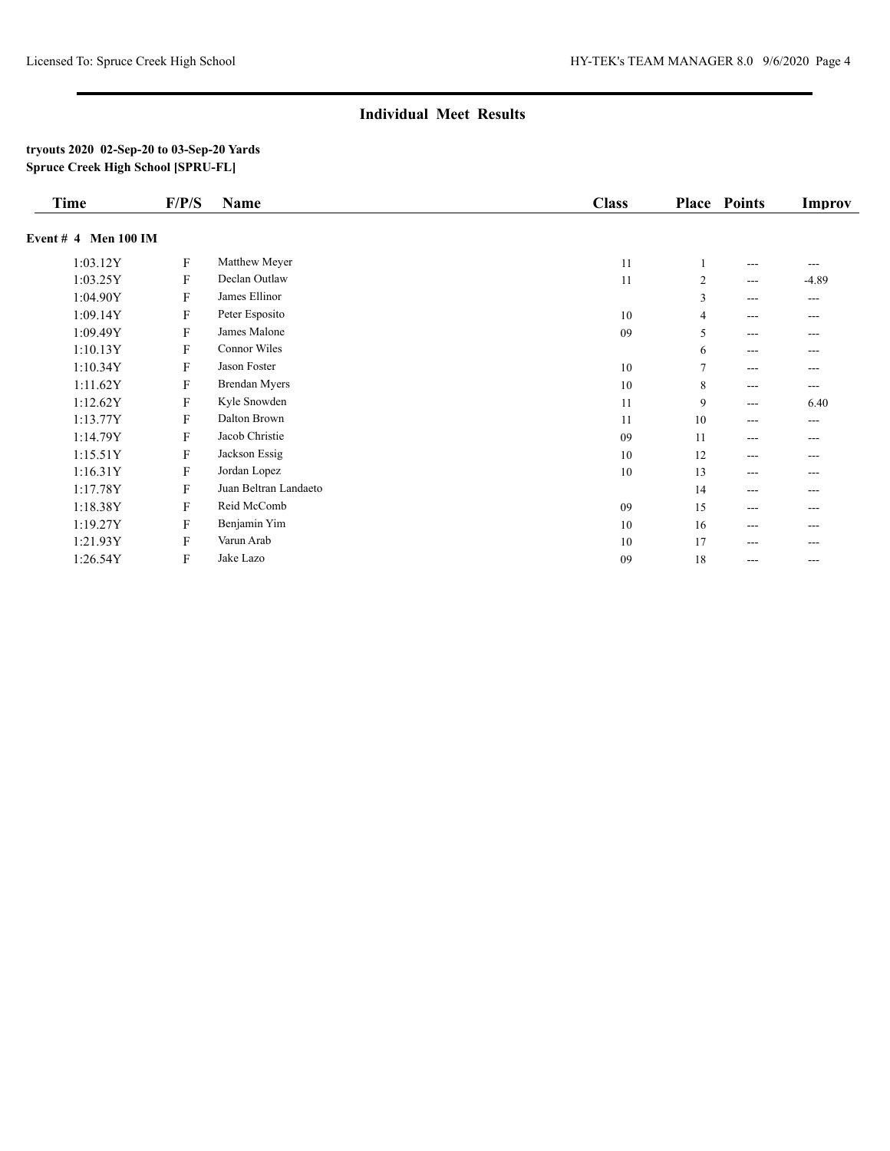| <b>Time</b>            | F/P/S                     | <b>Name</b>           | <b>Class</b> |                | <b>Place Points</b> | <b>Improv</b> |
|------------------------|---------------------------|-----------------------|--------------|----------------|---------------------|---------------|
| Event $#$ 4 Men 100 IM |                           |                       |              |                |                     |               |
| 1:03.12Y               | $\mathbf F$               | Matthew Meyer         | 11           |                | $---$               | ---           |
| 1:03.25Y               | $\mathbf{F}$              | Declan Outlaw         | 11           | $\overline{c}$ | $---$               | $-4.89$       |
| 1:04.90Y               | F                         | James Ellinor         |              | 3              | $---$               | $---$         |
| 1:09.14Y               | F                         | Peter Esposito        | 10           | 4              | $---$               | ---           |
| 1:09.49Y               | F                         | James Malone          | 09           | 5              | $---$               | ---           |
| 1:10.13Y               | F                         | Connor Wiles          |              | 6              | $---$               | ---           |
| 1:10.34Y               | $\mathbf F$               | Jason Foster          | 10           | 7              | $---$               | ---           |
| 1:11.62Y               | F                         | <b>Brendan Myers</b>  | 10           | 8              | $---$               | ---           |
| 1:12.62Y               | ${\bf F}$                 | Kyle Snowden          | 11           | 9              | $---$               | 6.40          |
| 1:13.77Y               | $\mathbf{F}$              | Dalton Brown          | 11           | 10             | $---$               | ---           |
| 1:14.79Y               | ${\bf F}$                 | Jacob Christie        | 09           | 11             | $---$               | ---           |
| 1:15.51Y               | ${\bf F}$                 | Jackson Essig         | 10           | 12             | $---$               | ---           |
| 1:16.31Y               | ${\bf F}$                 | Jordan Lopez          | 10           | 13             | $---$               | ---           |
| 1:17.78Y               | F                         | Juan Beltran Landaeto |              | 14             | $---$               | ---           |
| 1:18.38Y               | F                         | Reid McComb           | 09           | 15             | $---$               | ---           |
| 1:19.27Y               | $\mathbf F$               | Benjamin Yim          | 10           | 16             | $---$               | ---           |
| 1:21.93Y               | $\boldsymbol{\mathrm{F}}$ | Varun Arab            | 10           | 17             | $---$               | ---           |
| 1:26.54Y               | $\mathbf F$               | Jake Lazo             | 09           | 18             | $---$               | ---           |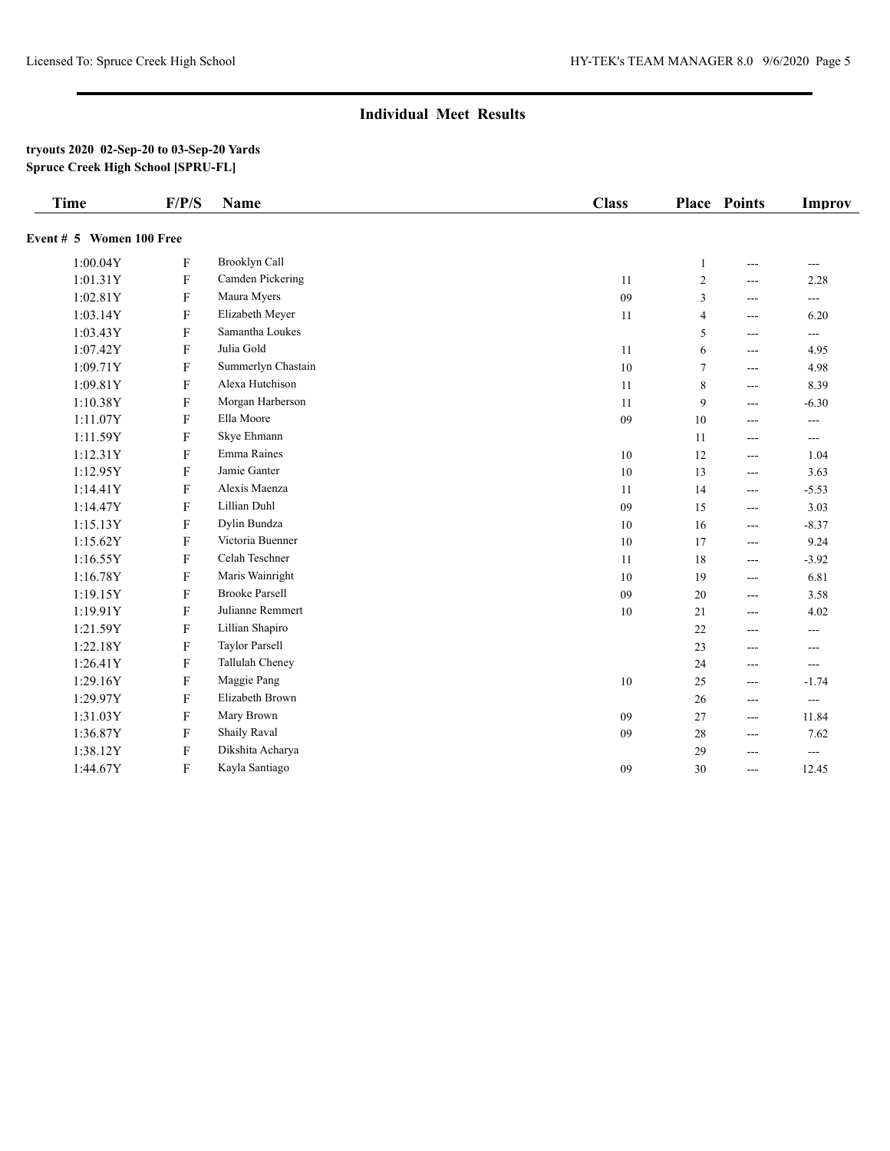| <b>Time</b>              | F/P/S                     | <b>Name</b>           | <b>Class</b> |                | <b>Place Points</b> | <b>Improv</b>            |
|--------------------------|---------------------------|-----------------------|--------------|----------------|---------------------|--------------------------|
| Event # 5 Women 100 Free |                           |                       |              |                |                     |                          |
| 1:00.04Y                 | ${\bf F}$                 | Brooklyn Call         |              | 1              | $---$               | $---$                    |
| 1:01.31Y                 | $\mathbf{F}$              | Camden Pickering      | 11           | $\sqrt{2}$     | ---                 | 2.28                     |
| 1:02.81Y                 | $\mathbf{F}$              | Maura Myers           | 09           | $\overline{3}$ | ---                 | $\cdots$                 |
| 1:03.14Y                 | $\mathbf{F}$              | Elizabeth Meyer       | 11           | $\overline{4}$ | ---                 | 6.20                     |
| 1:03.43Y                 | $\mathbf{F}$              | Samantha Loukes       |              | 5              | ---                 | $\overline{\phantom{a}}$ |
| 1:07.42Y                 | $\mathbf{F}$              | Julia Gold            | 11           | 6              | ---                 | 4.95                     |
| 1:09.71Y                 | $\mathbf{F}$              | Summerlyn Chastain    | 10           | $\tau$         | ---                 | 4.98                     |
| 1:09.81Y                 | $\mathbf F$               | Alexa Hutchison       | 11           | 8              | ---                 | 8.39                     |
| 1:10.38Y                 | ${\bf F}$                 | Morgan Harberson      | 11           | 9              | ---                 | $-6.30$                  |
| 1:11.07Y                 | ${\bf F}$                 | Ella Moore            | 09           | 10             | ---                 | ---                      |
| 1:11.59Y                 | F                         | Skye Ehmann           |              | 11             | ---                 | $\cdots$                 |
| 1:12.31Y                 | $\mathbf F$               | Emma Raines           | 10           | 12             | ---                 | 1.04                     |
| 1:12.95Y                 | F                         | Jamie Ganter          | 10           | 13             | ---                 | 3.63                     |
| 1:14.41Y                 | ${\bf F}$                 | Alexis Maenza         | 11           | 14             | ---                 | $-5.53$                  |
| 1:14.47Y                 | F                         | Lillian Duhl          | 09           | 15             | ---                 | 3.03                     |
| 1:15.13Y                 | $\boldsymbol{\mathrm{F}}$ | Dylin Bundza          | 10           | 16             | ---                 | $-8.37$                  |
| 1:15.62Y                 | $\mathbf F$               | Victoria Buenner      | 10           | 17             | ---                 | 9.24                     |
| 1:16.55Y                 | ${\bf F}$                 | Celah Teschner        | 11           | 18             | ---                 | $-3.92$                  |
| 1:16.78Y                 | F                         | Maris Wainright       | 10           | 19             | ---                 | 6.81                     |
| 1:19.15Y                 | $\mathbf F$               | <b>Brooke Parsell</b> | 09           | 20             | $---$               | 3.58                     |
| 1:19.91Y                 | $\mathbf F$               | Julianne Remmert      | 10           | 21             | $---$               | 4.02                     |
| 1:21.59Y                 | F                         | Lillian Shapiro       |              | 22             | $---$               | $\overline{a}$           |
| 1:22.18Y                 | $\mathbf F$               | Taylor Parsell        |              | 23             | $---$               | $---$                    |
| 1:26.41Y                 | F                         | Tallulah Cheney       |              | 24             | ---                 | $\cdots$                 |
| 1:29.16Y                 | F                         | Maggie Pang           | 10           | 25             | ---                 | $-1.74$                  |
| 1:29.97Y                 | F                         | Elizabeth Brown       |              | 26             | ---                 | $\overline{a}$           |
| 1:31.03Y                 | F                         | Mary Brown            | 09           | 27             | ---                 | 11.84                    |
| 1:36.87Y                 | F                         | Shaily Raval          | 09           | 28             | ---                 | 7.62                     |
| 1:38.12Y                 | F                         | Dikshita Acharya      |              | 29             | ---                 | $---$                    |
| 1:44.67Y                 | ${\bf F}$                 | Kayla Santiago        | 09           | 30             | ---                 | 12.45                    |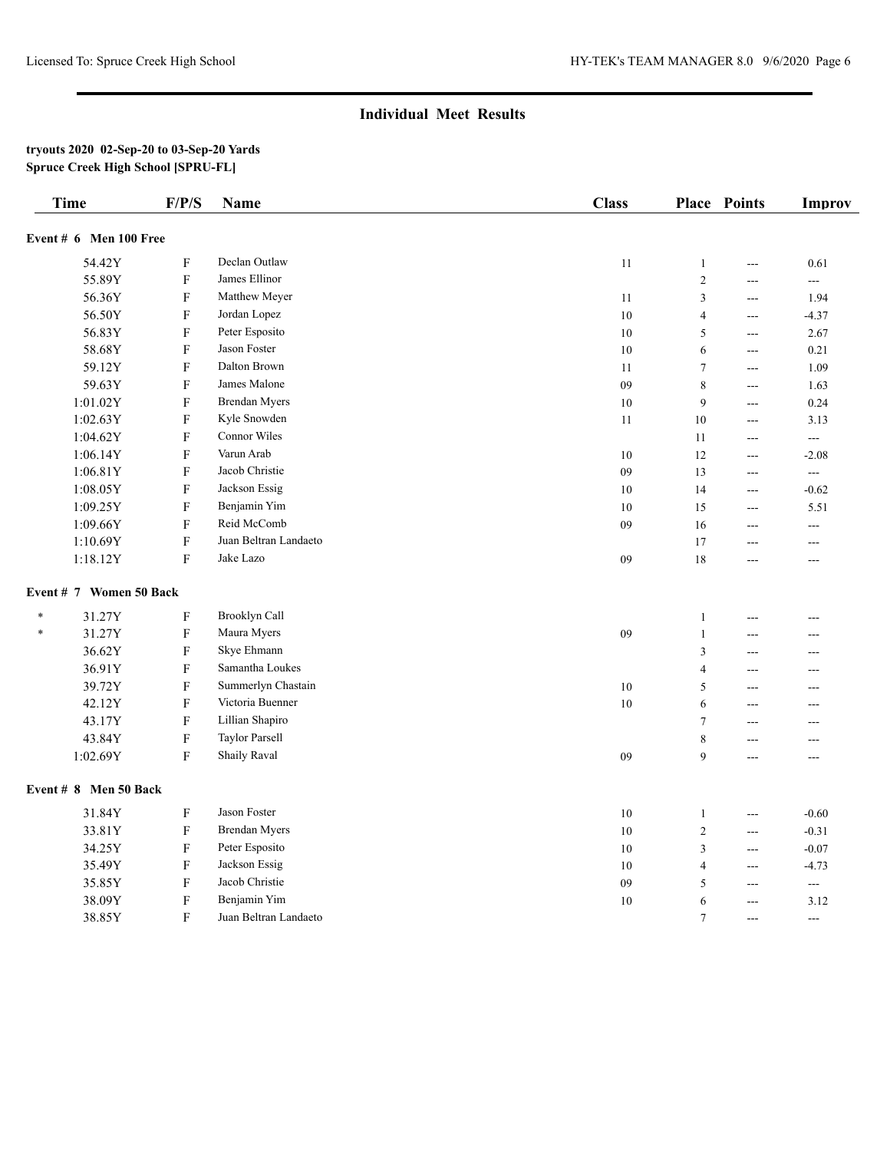| <b>Time</b>             | F/P/S                     | <b>Name</b>           | <b>Class</b> |                 | <b>Place Points</b> | Improv         |
|-------------------------|---------------------------|-----------------------|--------------|-----------------|---------------------|----------------|
| Event # 6 Men 100 Free  |                           |                       |              |                 |                     |                |
| 54.42Y                  | $\mathbf F$               | Declan Outlaw         | 11           | $\mathbf{1}$    | $---$               | 0.61           |
| 55.89Y                  | $\mathbf F$               | James Ellinor         |              | $\overline{2}$  | ---                 | $\overline{a}$ |
| 56.36Y                  | ${\bf F}$                 | Matthew Meyer         | 11           | $\mathfrak{Z}$  | $\sim$ $\sim$       | 1.94           |
| 56.50Y                  | $\mathbf F$               | Jordan Lopez          | 10           | $\overline{4}$  | $---$               | $-4.37$        |
| 56.83Y                  | ${\bf F}$                 | Peter Esposito        | 10           | $\sqrt{5}$      | $---$               | 2.67           |
| 58.68Y                  | $\mathbf F$               | Jason Foster          | 10           | 6               | $\overline{a}$      | 0.21           |
| 59.12Y                  | $\mathbf F$               | Dalton Brown          | 11           | $\overline{7}$  | $\overline{a}$      | 1.09           |
| 59.63Y                  | $\mathbf F$               | James Malone          | 09           | 8               | ---                 | 1.63           |
| 1:01.02Y                | $\mathbf F$               | <b>Brendan Myers</b>  | 10           | 9               | $\overline{a}$      | 0.24           |
| 1:02.63Y                | $\mathbf F$               | Kyle Snowden          | 11           | 10              | $\overline{a}$      | 3.13           |
| 1:04.62Y                | ${\bf F}$                 | Connor Wiles          |              | 11              | $\overline{a}$      | $\overline{a}$ |
| 1:06.14Y                | $\mathbf F$               | Varun Arab            | 10           | 12              | $---$               | $-2.08$        |
| 1:06.81Y                | $\mathbf F$               | Jacob Christie        | 09           | 13              | $---$               | $\overline{a}$ |
| 1:08.05Y                | ${\bf F}$                 | Jackson Essig         | 10           | 14              | $---$               | $-0.62$        |
| 1:09.25Y                | $\mathbf F$               | Benjamin Yim          | 10           | 15              | $\overline{a}$      | 5.51           |
| 1:09.66Y                | ${\bf F}$                 | Reid McComb           | 09           | 16              | $---$               | ---            |
| 1:10.69Y                | $\mathbf F$               | Juan Beltran Landaeto |              | 17              | $\overline{a}$      | ---            |
| 1:18.12Y                | $\rm F$                   | Jake Lazo             | 09           | 18              | $\overline{a}$      | $---$          |
| Event # 7 Women 50 Back |                           |                       |              |                 |                     |                |
| 31.27Y<br>$\ast$        | ${\bf F}$                 | Brooklyn Call         |              | $\mathbf{1}$    | $\overline{a}$      | ---            |
| 31.27Y<br>$\ast$        | ${\bf F}$                 | Maura Myers           | 09           | $\mathbf{1}$    | ---                 | ---            |
| 36.62Y                  | $\mathbf F$               | Skye Ehmann           |              | $\mathfrak{Z}$  | ---                 | ---            |
| 36.91Y                  | $\mathbf F$               | Samantha Loukes       |              | $\overline{4}$  | $\overline{a}$      | $\overline{a}$ |
| 39.72Y                  | ${\bf F}$                 | Summerlyn Chastain    | $10\,$       | $\sqrt{5}$      | $---$               | $---$          |
| 42.12Y                  | ${\bf F}$                 | Victoria Buenner      | 10           | 6               | ---                 | $---$          |
| 43.17Y                  | $\mathbf F$               | Lillian Shapiro       |              | $\overline{7}$  | $\overline{a}$      | ---            |
| 43.84Y                  | $\mathbf F$               | <b>Taylor Parsell</b> |              | $\,8\,$         | ---                 | ---            |
| 1:02.69Y                | $\mathbf F$               | <b>Shaily Raval</b>   | 09           | 9               | $\overline{a}$      | $\sim$ $\sim$  |
| Event $# 8$ Men 50 Back |                           |                       |              |                 |                     |                |
| 31.84Y                  | $\mathbf F$               | Jason Foster          | 10           | $\mathbf{1}$    | $\sim$ $\sim$       | $-0.60$        |
| 33.81Y                  | $\mathbf F$               | <b>Brendan Myers</b>  | 10           | $\overline{2}$  | $\overline{a}$      | $-0.31$        |
| 34.25Y                  | ${\bf F}$                 | Peter Esposito        | 10           | $\mathfrak z$   | ---                 | $-0.07$        |
| 35.49Y                  | $\mathbf F$               | Jackson Essig         | 10           | $\overline{4}$  | ---                 | $-4.73$        |
| 35.85Y                  | $\mathbf F$               | Jacob Christie        | 09           | 5               | ---                 | $\overline{a}$ |
| 38.09Y                  | $\boldsymbol{\mathrm{F}}$ | Benjamin Yim          | 10           | 6               | $\sim$              | 3.12           |
| 38.85Y                  | F                         | Juan Beltran Landaeto |              | $7\phantom{.0}$ | $---$               | $---$          |